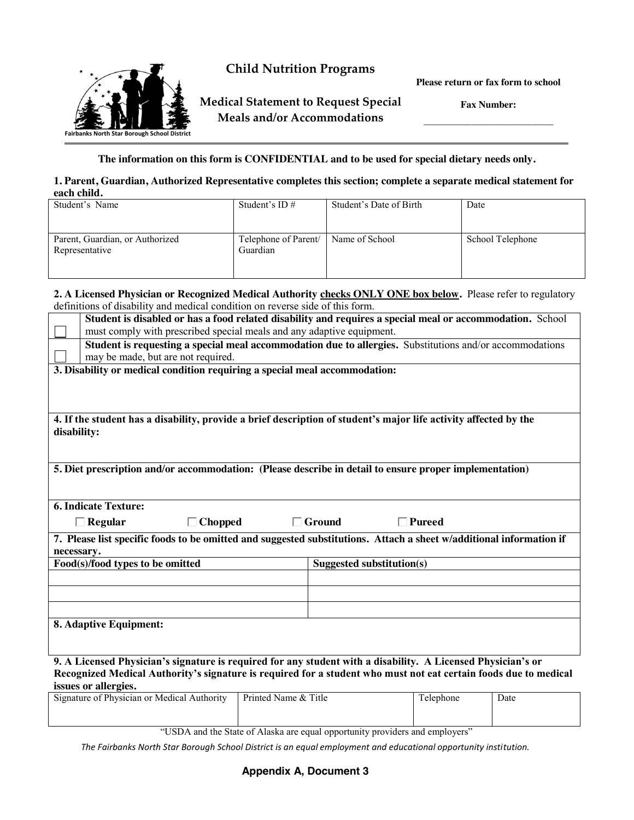

**Child Nutrition Programs**

**Medical Statement to Request Special Meals and/or Accommodations**

**Please return or fax form to school**

**Fax Number: \_\_\_\_\_\_\_\_\_\_\_\_\_\_\_\_\_\_\_\_\_\_\_\_\_\_\_\_\_\_\_\_\_\_\_\_\_\_**

**The information on this form is CONFIDENTIAL and to be used for special dietary needs only.**

## **1. Parent, Guardian, Authorized Representative completes this section; complete a separate medical statement for each child.**

| Student's Name                                    | Student's ID $#$                 | Student's Date of Birth | Date             |  |  |
|---------------------------------------------------|----------------------------------|-------------------------|------------------|--|--|
| Parent, Guardian, or Authorized<br>Representative | Telephone of Parent/<br>Guardian | Name of School          | School Telephone |  |  |

## **2. A Licensed Physician or Recognized Medical Authority checks ONLY ONE box below.** Please refer to regulatory definitions of disability and medical condition on reverse side of this form.

|                                                                                                                                 | Student is disabled or has a food related disability and requires a special meal or accommodation. School |                                                                                                                                                                                                                                  |  |  |  |  |
|---------------------------------------------------------------------------------------------------------------------------------|-----------------------------------------------------------------------------------------------------------|----------------------------------------------------------------------------------------------------------------------------------------------------------------------------------------------------------------------------------|--|--|--|--|
|                                                                                                                                 | must comply with prescribed special meals and any adaptive equipment.                                     |                                                                                                                                                                                                                                  |  |  |  |  |
|                                                                                                                                 | may be made, but are not required.                                                                        | Student is requesting a special meal accommodation due to allergies. Substitutions and/or accommodations                                                                                                                         |  |  |  |  |
|                                                                                                                                 |                                                                                                           |                                                                                                                                                                                                                                  |  |  |  |  |
| 3. Disability or medical condition requiring a special meal accommodation:                                                      |                                                                                                           |                                                                                                                                                                                                                                  |  |  |  |  |
|                                                                                                                                 |                                                                                                           |                                                                                                                                                                                                                                  |  |  |  |  |
|                                                                                                                                 |                                                                                                           |                                                                                                                                                                                                                                  |  |  |  |  |
| 4. If the student has a disability, provide a brief description of student's major life activity affected by the<br>disability: |                                                                                                           |                                                                                                                                                                                                                                  |  |  |  |  |
|                                                                                                                                 |                                                                                                           |                                                                                                                                                                                                                                  |  |  |  |  |
|                                                                                                                                 |                                                                                                           |                                                                                                                                                                                                                                  |  |  |  |  |
| 5. Diet prescription and/or accommodation: (Please describe in detail to ensure proper implementation)                          |                                                                                                           |                                                                                                                                                                                                                                  |  |  |  |  |
|                                                                                                                                 |                                                                                                           |                                                                                                                                                                                                                                  |  |  |  |  |
| <b>6. Indicate Texture:</b>                                                                                                     |                                                                                                           |                                                                                                                                                                                                                                  |  |  |  |  |
|                                                                                                                                 |                                                                                                           |                                                                                                                                                                                                                                  |  |  |  |  |
|                                                                                                                                 | $\Box$ Regular<br>$\Box$ Chopped                                                                          | $\Box$ Ground<br>⊺Pureed                                                                                                                                                                                                         |  |  |  |  |
|                                                                                                                                 |                                                                                                           | 7. Please list specific foods to be omitted and suggested substitutions. Attach a sheet w/additional information if                                                                                                              |  |  |  |  |
| necessary.                                                                                                                      |                                                                                                           |                                                                                                                                                                                                                                  |  |  |  |  |
|                                                                                                                                 | Food(s)/food types to be omitted                                                                          | Suggested substitution(s)                                                                                                                                                                                                        |  |  |  |  |
|                                                                                                                                 |                                                                                                           |                                                                                                                                                                                                                                  |  |  |  |  |
|                                                                                                                                 |                                                                                                           |                                                                                                                                                                                                                                  |  |  |  |  |
|                                                                                                                                 |                                                                                                           |                                                                                                                                                                                                                                  |  |  |  |  |
|                                                                                                                                 |                                                                                                           |                                                                                                                                                                                                                                  |  |  |  |  |
|                                                                                                                                 | 8. Adaptive Equipment:                                                                                    |                                                                                                                                                                                                                                  |  |  |  |  |
|                                                                                                                                 |                                                                                                           |                                                                                                                                                                                                                                  |  |  |  |  |
|                                                                                                                                 |                                                                                                           |                                                                                                                                                                                                                                  |  |  |  |  |
|                                                                                                                                 |                                                                                                           | 9. A Licensed Physician's signature is required for any student with a disability. A Licensed Physician's or<br>Recognized Medical Authority's signature is required for a student who must not eat certain foods due to medical |  |  |  |  |

**issues or allergies.**

| Signature of Physician or Medical Authority | Printed Name & Title | l elephone | Date |
|---------------------------------------------|----------------------|------------|------|
|                                             |                      |            |      |

"USDA and the State of Alaska are equal opportunity providers and employers"

*The Fairbanks North Star Borough School District is an equal employment and educational opportunity institution.*